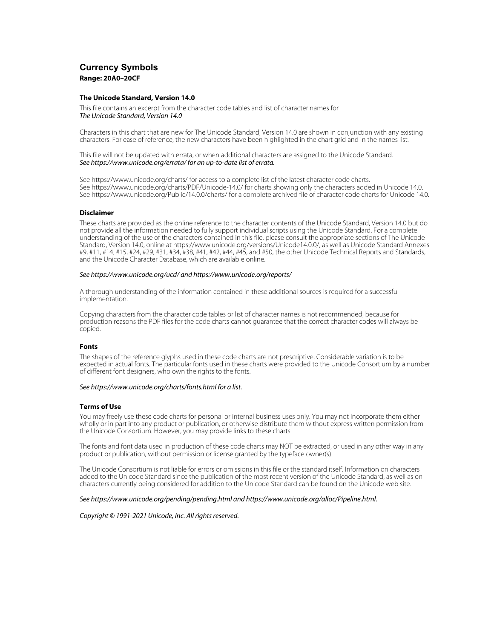# **Currency Symbols Range: 20A0–20CF**

## **The Unicode Standard, Version 14.0**

This file contains an excerpt from the character code tables and list of character names for The Unicode Standard, Version 14.0

Characters in this chart that are new for The Unicode Standard, Version 14.0 are shown in conjunction with any existing characters. For ease of reference, the new characters have been highlighted in the chart grid and in the names list.

This file will not be updated with errata, or when additional characters are assigned to the Unicode Standard. See https://www.unicode.org/errata/ for an up-to-date list of errata.

See https://www.unicode.org/charts/ for access to a complete list of the latest character code charts. See https://www.unicode.org/charts/PDF/Unicode-14.0/ for charts showing only the characters added in Unicode 14.0. See https://www.unicode.org/Public/14.0.0/charts/ for a complete archived file of character code charts for Unicode 14.0.

# **Disclaimer**

These charts are provided as the online reference to the character contents of the Unicode Standard, Version 14.0 but do not provide all the information needed to fully support individual scripts using the Unicode Standard. For a complete understanding of the use of the characters contained in this file, please consult the appropriate sections of The Unicode Standard, Version 14.0, online at https://www.unicode.org/versions/Unicode14.0.0/, as well as Unicode Standard Annexes #9, #11, #14, #15, #24, #29, #31, #34, #38, #41, #42, #44, #45, and #50, the other Unicode Technical Reports and Standards, and the Unicode Character Database, which are available online.

### See https://www.unicode.org/ucd/ and https://www.unicode.org/reports/

A thorough understanding of the information contained in these additional sources is required for a successful implementation.

Copying characters from the character code tables or list of character names is not recommended, because for production reasons the PDF files for the code charts cannot guarantee that the correct character codes will always be copied.

# **Fonts**

The shapes of the reference glyphs used in these code charts are not prescriptive. Considerable variation is to be expected in actual fonts. The particular fonts used in these charts were provided to the Unicode Consortium by a number of different font designers, who own the rights to the fonts.

### See https://www.unicode.org/charts/fonts.html for a list.

# **Terms of Use**

You may freely use these code charts for personal or internal business uses only. You may not incorporate them either wholly or in part into any product or publication, or otherwise distribute them without express written permission from the Unicode Consortium. However, you may provide links to these charts.

The fonts and font data used in production of these code charts may NOT be extracted, or used in any other way in any product or publication, without permission or license granted by the typeface owner(s).

The Unicode Consortium is not liable for errors or omissions in this file or the standard itself. Information on characters added to the Unicode Standard since the publication of the most recent version of the Unicode Standard, as well as on characters currently being considered for addition to the Unicode Standard can be found on the Unicode web site.

### See https://www.unicode.org/pending/pending.html and https://www.unicode.org/alloc/Pipeline.html.

Copyright © 1991-2021 Unicode, Inc. All rights reserved.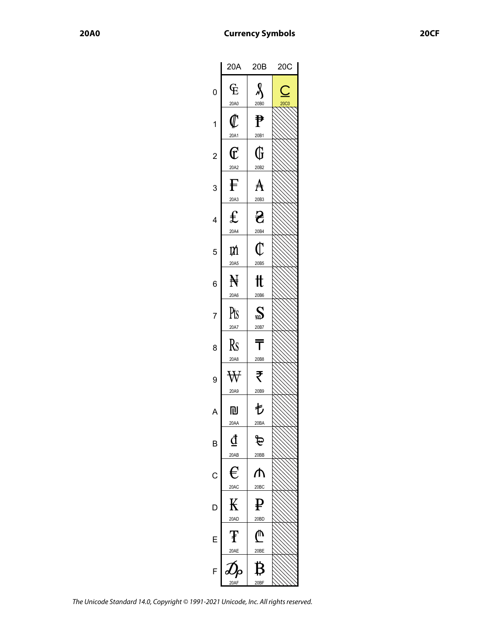|                | 20A                                          | 20B                   | 20C                                     |
|----------------|----------------------------------------------|-----------------------|-----------------------------------------|
| 0              | $\rm E$<br>20A0                              | $\lambda$<br>20B0     | $\overline{\phantom{0}}$<br><b>20C0</b> |
| 1              | $\rlap{\hspace{.08em}\mathit{\ell}}$<br>20A1 | ₱<br>20B1             |                                         |
| $\overline{c}$ | $\overline{\mathbb{C}}$<br>20A2              | G<br>20B2             |                                         |
| 3              | F<br>20A3                                    | A<br>20B3             |                                         |
| 4              | $\mathbf f$<br>20A4                          | 운<br>20B4             |                                         |
| 5              | M<br>20A5                                    | $\mathbb C$<br>20B5   |                                         |
| 6              | $\mathbb H$<br>20A6                          | tt<br>20B6            |                                         |
| 7              | Pts<br>20A7                                  | $\mathbf{S}$<br>20B7  |                                         |
| 8              | Rs<br>20A8                                   | T<br>20B8             |                                         |
| 9              | $\forall$<br>20A9                            | ₹<br>20B9             |                                         |
| A              | 凹<br>20AA                                    | も<br>20BA             |                                         |
| B              | đ<br>20AB                                    | चि<br>20BB            |                                         |
| $\mathsf{C}$   | €<br>20AC                                    | ⋔<br>20 <sub>BC</sub> |                                         |
| Г              | К<br>20AD                                    | ¥<br>20BD             |                                         |
|                | Ŧ<br>20AE                                    | ⋔<br>20BE             |                                         |
| F              | 20AF                                         | Β<br>20BF             |                                         |

The Unicode Standard 14.0, Copyright © 1991-2021 Unicode, Inc. All rights reserved.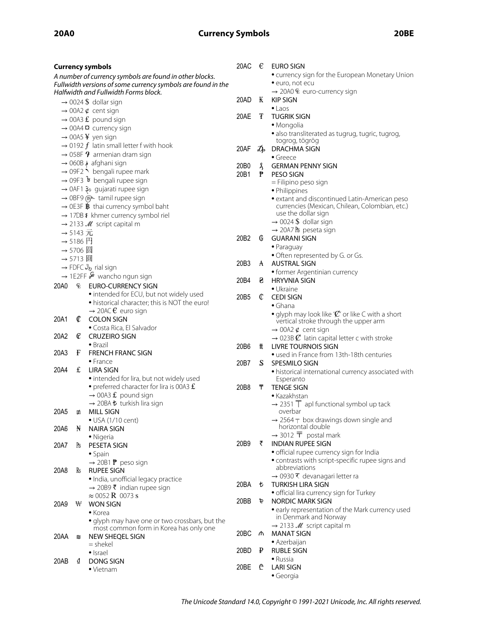# **20A0 Currency Symbols 20BE**

| <b>Currency symbols</b>                                                                       |          | 20AC                                                                                     | €                      | EURO SIGN                                                               |                                                                              |
|-----------------------------------------------------------------------------------------------|----------|------------------------------------------------------------------------------------------|------------------------|-------------------------------------------------------------------------|------------------------------------------------------------------------------|
| A number of currency symbols are found in other blocks.                                       |          |                                                                                          |                        |                                                                         | • currency sign for the European Monetary Union                              |
| Fullwidth versions of some currency symbols are found in the                                  |          |                                                                                          |                        | · euro, not ecu                                                         |                                                                              |
| Halfwidth and Fullwidth Forms block.                                                          |          | 20AD                                                                                     | $\bf{K}$               | $\rightarrow$ 20A0 $\overline{E}$ euro-currency sign<br><b>KIP SIGN</b> |                                                                              |
| $\rightarrow$ 0024 \$ dollar sign                                                             |          |                                                                                          |                        | $\bullet$ Laos                                                          |                                                                              |
| $\rightarrow$ 00A2 $\phi$ cent sign<br>$\rightarrow$ 00A3 £ pound sign                        |          | 20AE                                                                                     | Ŧ                      | <b>TUGRIK SIGN</b>                                                      |                                                                              |
| $\rightarrow$ 00A4 $\alpha$ currency sign                                                     |          |                                                                                          |                        | • Mongolia                                                              |                                                                              |
| $\rightarrow$ 00A5 ¥ yen sign                                                                 |          |                                                                                          |                        | • also transliterated as tugrug, tugric, tugrog,                        |                                                                              |
| $\rightarrow$ 0192 $f$ latin small letter f with hook                                         |          | 20AF                                                                                     | $\mathcal{D}_{\!\rho}$ | togrog, tögrög<br>DRACHMA SIGN                                          |                                                                              |
| $\rightarrow$ 058F $\rightarrow$ armenian dram sign                                           |          |                                                                                          |                        | $\bullet$ Greece                                                        |                                                                              |
| afghani sign فه 060B →                                                                        |          | 20 <sub>B</sub> 0                                                                        | Ŷ,                     | <b>GERMAN PENNY SIGN</b>                                                |                                                                              |
| $\rightarrow$ 09F2 $\stackrel{\scriptstyle \bullet}{\scriptstyle \bullet}$ bengali rupee mark |          | 20B1                                                                                     | ₱                      | <b>PESO SIGN</b>                                                        |                                                                              |
| $\rightarrow$ 09F3 $\overline{b}$ bengali rupee sign<br>→ 0AF1 3° gujarati rupee sign         |          |                                                                                          |                        | = Filipino peso sign                                                    |                                                                              |
| → OBF9 (FAL tamil rupee sign                                                                  |          |                                                                                          |                        |                                                                         | · Philippines<br>• extant and discontinued Latin-American peso               |
| $\rightarrow$ 0E3F $\rlap{\hspace{0.02cm}/}{\rm B}$ thai currency symbol baht                 |          |                                                                                          |                        |                                                                         | currencies (Mexican, Chilean, Colombian, etc.)                               |
|                                                                                               |          | → 17DB ៛ khmer currency symbol riel                                                      |                        |                                                                         | use the dollar sign                                                          |
| $\rightarrow$ 2133 M script capital m                                                         |          |                                                                                          |                        | $\rightarrow$ 0024 \$ dollar sign                                       |                                                                              |
| $\rightarrow$ 5143 元                                                                          |          | 20B2                                                                                     | G                      | $\rightarrow$ 20A7 Pts peseta sign<br><b>GUARANI SIGN</b>               |                                                                              |
| $\rightarrow$ 5186 $\overline{H}$<br>→ 5706 圆                                                 |          |                                                                                          |                        | • Paraguay                                                              |                                                                              |
|                                                                                               | → 5713 圓 |                                                                                          |                        |                                                                         | · Often represented by G. or Gs.                                             |
|                                                                                               |          | rial sign ريال FDFC →                                                                    | 20B3                   | A                                                                       | <b>AUSTRAL SIGN</b>                                                          |
|                                                                                               |          | $\rightarrow$ 1E2FF $\frac{6}{5}$ wancho ngun sign                                       |                        |                                                                         | • former Argentinian currency                                                |
| 20A0                                                                                          | È        | <b>EURO-CURRENCY SIGN</b>                                                                | 20B4                   | 8                                                                       | <b>HRYVNIA SIGN</b><br>· Ukraine                                             |
|                                                                                               |          | · intended for ECU, but not widely used                                                  | 20B5                   | C                                                                       | <b>CEDI SIGN</b>                                                             |
|                                                                                               |          | • historical character; this is NOT the euro!                                            |                        |                                                                         | $\bullet$ Ghana                                                              |
| 20A1                                                                                          | ¢        | $\rightarrow$ 20AC $\epsilon$ euro sign<br><b>COLON SIGN</b>                             |                        |                                                                         | • glyph may look like ' $\mathcal{C}'$ ' or like C with a short              |
|                                                                                               |          | • Costa Rica, El Salvador                                                                |                        |                                                                         | vertical stroke through the upper arm<br>$\rightarrow$ 00A2 $\phi$ cent sign |
| 20A2                                                                                          | C        | <b>CRUZEIRO SIGN</b>                                                                     |                        |                                                                         | $\rightarrow$ 023B $\mathcal{C}$ latin capital letter c with stroke          |
|                                                                                               |          | $\bullet$ Brazil                                                                         | 20B6                   | tt.                                                                     | <b>LIVRE TOURNOIS SIGN</b>                                                   |
| 20A3                                                                                          | F        | <b>FRENCH FRANC SIGN</b>                                                                 |                        |                                                                         | • used in France from 13th-18th centuries                                    |
| 20A4                                                                                          | £        | $\bullet$ France<br><b>LIRA SIGN</b>                                                     | 20B7                   | S.                                                                      | SPESMILO SIGN                                                                |
|                                                                                               |          | · intended for lira, but not widely used                                                 |                        |                                                                         | • historical international currency associated with<br>Esperanto             |
|                                                                                               |          | • preferred character for lira is 00A3 $f$ .                                             | 20B8                   | Ŧ.                                                                      | <b>TENGE SIGN</b>                                                            |
|                                                                                               |          | $\rightarrow$ 00A3 £ pound sign                                                          |                        |                                                                         | • Kazakhstan                                                                 |
|                                                                                               |          | → 20BA ₺ turkish lira sign                                                               |                        |                                                                         | $\rightarrow$ 2351 $\overline{T}$ apl functional symbol up tack              |
| 20A5                                                                                          | m        | MILL SIGN<br>$\bullet$ USA (1/10 cent)                                                   |                        |                                                                         | overbar<br>$\rightarrow$ 2564 $\pm$ box drawings down single and             |
| 20A6                                                                                          | N        | <b>NAIRA SIGN</b>                                                                        |                        |                                                                         | horizontal double                                                            |
|                                                                                               |          | • Nigeria                                                                                |                        |                                                                         | $\rightarrow$ 3012 $\overline{T}$ postal mark                                |
| 20A7                                                                                          | Pts      | PESETA SIGN                                                                              | 20B9                   | ₹                                                                       | <b>INDIAN RUPEE SIGN</b>                                                     |
|                                                                                               |          | $\bullet$ Spain                                                                          |                        |                                                                         | • official rupee currency sign for India                                     |
|                                                                                               |          | $\rightarrow$ 20B1 P peso sign                                                           |                        |                                                                         | • contrasts with script-specific rupee signs and<br>abbreviations            |
| 20A8                                                                                          | Rs.      | <b>RUPEE SIGN</b><br>· India, unofficial legacy practice                                 |                        |                                                                         | → 0930 र devanagari letter ra                                                |
|                                                                                               |          | $\rightarrow$ 20B9 ₹ indian rupee sign                                                   | 20BA                   | ŧ                                                                       | TURKISH LIRA SIGN                                                            |
|                                                                                               |          | $\approx 0052 \text{ R}$ 0073 s                                                          |                        |                                                                         | • official lira currency sign for Turkey                                     |
| 20A9                                                                                          | ₩        | <b>WON SIGN</b>                                                                          | 20BB                   | ৳                                                                       | <b>NORDIC MARK SIGN</b>                                                      |
|                                                                                               |          | $\bullet$ Korea                                                                          |                        |                                                                         | • early representation of the Mark currency used<br>in Denmark and Norway    |
|                                                                                               |          | • glyph may have one or two crossbars, but the<br>most common form in Korea has only one |                        |                                                                         | $\rightarrow$ 2133 M script capital m                                        |
| 20AA                                                                                          | 凹        | NEW SHEQEL SIGN                                                                          | 20BC                   | ሐ                                                                       | <b>MANAT SIGN</b>                                                            |
|                                                                                               |          | = shekel                                                                                 |                        |                                                                         | • Azerbaijan                                                                 |
|                                                                                               |          | • Israel                                                                                 | 20BD                   | ₽                                                                       | <b>RUBLE SIGN</b><br>• Russia                                                |
| 20AB                                                                                          | ₫        | <b>DONG SIGN</b>                                                                         | 20BE                   | ₾                                                                       | <b>LARI SIGN</b>                                                             |
|                                                                                               |          | · Vietnam                                                                                |                        |                                                                         | • Georgia                                                                    |
|                                                                                               |          |                                                                                          |                        |                                                                         |                                                                              |